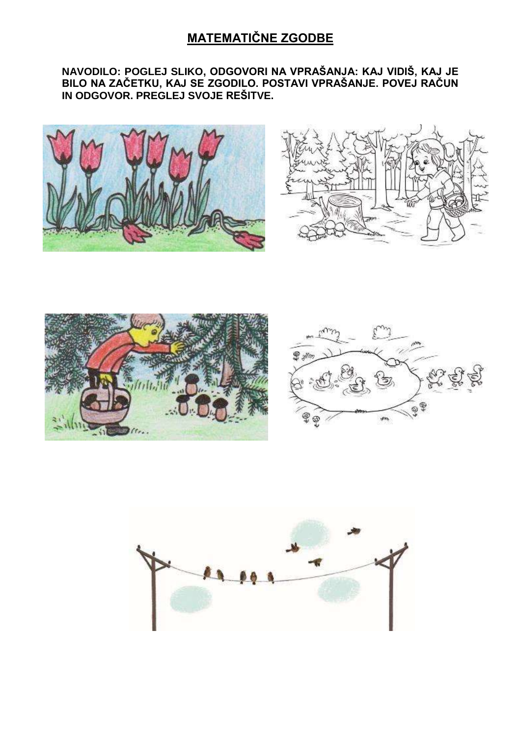# **MATEMATIČNE ZGODBE**

#### **NAVODILO: POGLEJ SLIKO, ODGOVORI NA VPRAŠANJA: KAJ VIDIŠ, KAJ JE BILO NA ZAČETKU, KAJ SE ZGODILO. POSTAVI VPRAŠANJE. POVEJ RAČUN IN ODGOVOR. PREGLEJ SVOJE REŠITVE.**









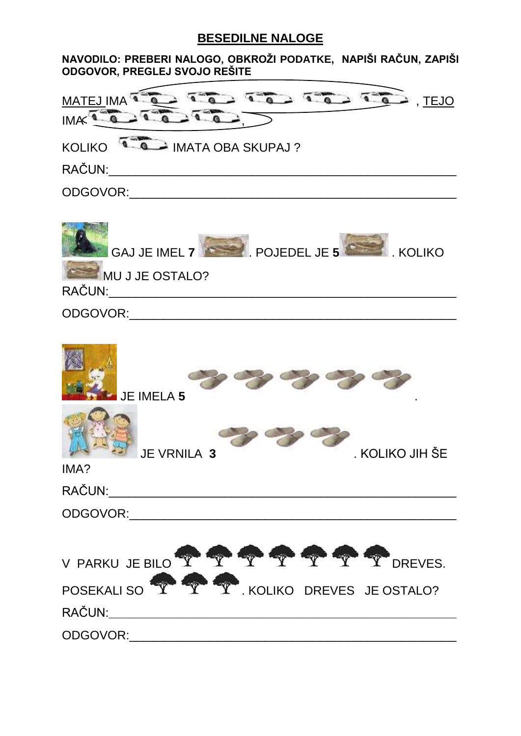## **BESEDILNE NALOGE**

| NAVODILO: PREBERI NALOGO, OBKROŽI PODATKE, NAPIŠI RAČUN, ZAPIŠI |  |
|-----------------------------------------------------------------|--|
| <b>ODGOVOR, PREGLEJ SVOJO REŠITE</b>                            |  |
|                                                                 |  |

| <b>MATEJ IMA</b><br>, TEJO<br><b>IMA</b>              |
|-------------------------------------------------------|
| - IMATA OBA SKUPAJ ?<br><b>KOLIKO</b>                 |
| RAČUN:                                                |
| ODGOVOR:                                              |
| POJEDEL JE 5<br><b>GAJ JE IMEL 7</b><br><b>KOLIKO</b> |

MU J JE OSTALO?

RAČUN:\_\_\_\_\_\_\_\_\_\_\_\_\_\_\_\_\_\_\_\_\_\_\_\_\_\_\_\_\_\_\_\_\_\_\_\_\_\_\_\_\_\_\_\_\_\_\_\_\_\_\_

ODGOVOR:\_\_\_\_\_\_\_\_\_\_\_\_\_\_\_\_\_\_\_\_\_\_\_\_\_\_\_\_\_\_\_\_\_\_\_\_\_\_\_\_\_\_\_\_\_\_\_\_

| <b>JE IMELA 5</b>                           |                 |
|---------------------------------------------|-----------------|
| JE VRNILA 3<br>IMA?                         | . KOLIKO JIH ŠE |
| RAČUN:                                      |                 |
| ODGOVOR:                                    |                 |
| V PARKU JE BILO Y Y Y Y Y Y Y Y DREVES.     |                 |
| POSEKALI SO TELEVISION TELEVISION NEWSFALOR |                 |
| RAČUN:                                      |                 |
| ODGOVOR:                                    |                 |